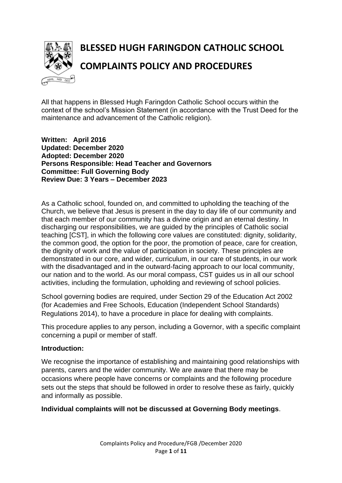

# **BLESSED HUGH FARINGDON CATHOLIC SCHOOL COMPLAINTS POLICY AND PROCEDURES**

All that happens in Blessed Hugh Faringdon Catholic School occurs within the context of the school's Mission Statement (in accordance with the Trust Deed for the maintenance and advancement of the Catholic religion).

**Written: April 2016 Updated: December 2020 Adopted: December 2020 Persons Responsible: Head Teacher and Governors Committee: Full Governing Body Review Due: 3 Years – December 2023**

As a Catholic school, founded on, and committed to upholding the teaching of the Church, we believe that Jesus is present in the day to day life of our community and that each member of our community has a divine origin and an eternal destiny. In discharging our responsibilities, we are guided by the principles of Catholic social teaching [CST], in which the following core values are constituted: dignity, solidarity, the common good, the option for the poor, the promotion of peace, care for creation, the dignity of work and the value of participation in society. These principles are demonstrated in our core, and wider, curriculum, in our care of students, in our work with the disadvantaged and in the outward-facing approach to our local community, our nation and to the world. As our moral compass, CST guides us in all our school activities, including the formulation, upholding and reviewing of school policies.

School governing bodies are required, under Section 29 of the Education Act 2002 (for Academies and Free Schools, Education (Independent School Standards) Regulations 2014), to have a procedure in place for dealing with complaints.

This procedure applies to any person, including a Governor, with a specific complaint concerning a pupil or member of staff.

#### **Introduction:**

We recognise the importance of establishing and maintaining good relationships with parents, carers and the wider community. We are aware that there may be occasions where people have concerns or complaints and the following procedure sets out the steps that should be followed in order to resolve these as fairly, quickly and informally as possible.

#### **Individual complaints will not be discussed at Governing Body meetings**.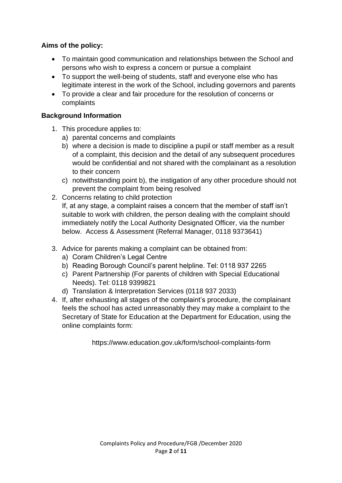## **Aims of the policy:**

- To maintain good communication and relationships between the School and persons who wish to express a concern or pursue a complaint
- To support the well-being of students, staff and everyone else who has legitimate interest in the work of the School, including governors and parents
- To provide a clear and fair procedure for the resolution of concerns or complaints

### **Background Information**

- 1. This procedure applies to:
	- a) parental concerns and complaints
	- b) where a decision is made to discipline a pupil or staff member as a result of a complaint, this decision and the detail of any subsequent procedures would be confidential and not shared with the complainant as a resolution to their concern
	- c) notwithstanding point b), the instigation of any other procedure should not prevent the complaint from being resolved
- 2. Concerns relating to child protection

If, at any stage, a complaint raises a concern that the member of staff isn't suitable to work with children, the person dealing with the complaint should immediately notify the Local Authority Designated Officer, via the number below. Access & Assessment (Referral Manager, 0118 9373641)

- 3. Advice for parents making a complaint can be obtained from:
	- a) Coram Children's Legal Centre
	- b) Reading Borough Council's parent helpline. Tel: 0118 937 2265
	- c) Parent Partnership (For parents of children with Special Educational Needs). Tel: 0118 9399821
	- d) Translation & Interpretation Services (0118 937 2033)
- 4. If, after exhausting all stages of the complaint's procedure, the complainant feels the school has acted unreasonably they may make a complaint to the Secretary of State for Education at the Department for Education, using the online complaints form:

https://www.education.gov.uk/form/school-complaints-form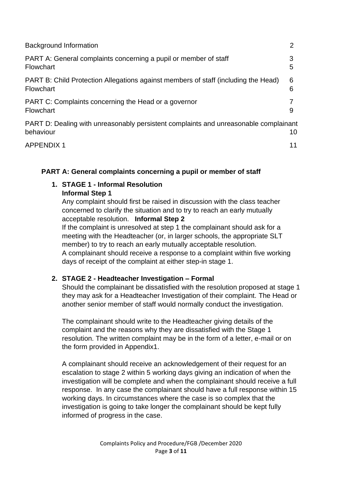| <b>Background Information</b>                                                                     |        |
|---------------------------------------------------------------------------------------------------|--------|
| PART A: General complaints concerning a pupil or member of staff<br>Flowchart                     | 3<br>5 |
| PART B: Child Protection Allegations against members of staff (including the Head)<br>Flowchart   | 6<br>6 |
| PART C: Complaints concerning the Head or a governor<br>Flowchart                                 | 9      |
| PART D: Dealing with unreasonably persistent complaints and unreasonable complainant<br>behaviour | 10     |
| <b>APPENDIX1</b>                                                                                  | 11     |

### **PART A: General complaints concerning a pupil or member of staff**

#### **1. STAGE 1 - Informal Resolution Informal Step 1**

Any complaint should first be raised in discussion with the class teacher concerned to clarify the situation and to try to reach an early mutually acceptable resolution. **Informal Step 2**

If the complaint is unresolved at step 1 the complainant should ask for a meeting with the Headteacher (or, in larger schools, the appropriate SLT member) to try to reach an early mutually acceptable resolution. A complainant should receive a response to a complaint within five working days of receipt of the complaint at either step-in stage 1.

# **2. STAGE 2 - Headteacher Investigation – Formal**

Should the complainant be dissatisfied with the resolution proposed at stage 1 they may ask for a Headteacher Investigation of their complaint. The Head or another senior member of staff would normally conduct the investigation.

The complainant should write to the Headteacher giving details of the complaint and the reasons why they are dissatisfied with the Stage 1 resolution. The written complaint may be in the form of a letter, e-mail or on the form provided in Appendix1.

A complainant should receive an acknowledgement of their request for an escalation to stage 2 within 5 working days giving an indication of when the investigation will be complete and when the complainant should receive a full response. In any case the complainant should have a full response within 15 working days. In circumstances where the case is so complex that the investigation is going to take longer the complainant should be kept fully informed of progress in the case.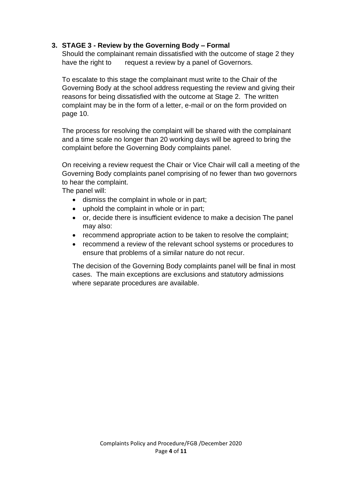### **3. STAGE 3 - Review by the Governing Body – Formal**

Should the complainant remain dissatisfied with the outcome of stage 2 they have the right to request a review by a panel of Governors.

To escalate to this stage the complainant must write to the Chair of the Governing Body at the school address requesting the review and giving their reasons for being dissatisfied with the outcome at Stage 2. The written complaint may be in the form of a letter, e-mail or on the form provided on page 10.

The process for resolving the complaint will be shared with the complainant and a time scale no longer than 20 working days will be agreed to bring the complaint before the Governing Body complaints panel.

On receiving a review request the Chair or Vice Chair will call a meeting of the Governing Body complaints panel comprising of no fewer than two governors to hear the complaint.

The panel will:

- dismiss the complaint in whole or in part;
- uphold the complaint in whole or in part;
- or, decide there is insufficient evidence to make a decision The panel may also:
- recommend appropriate action to be taken to resolve the complaint;
- recommend a review of the relevant school systems or procedures to ensure that problems of a similar nature do not recur.

The decision of the Governing Body complaints panel will be final in most cases. The main exceptions are exclusions and statutory admissions where separate procedures are available.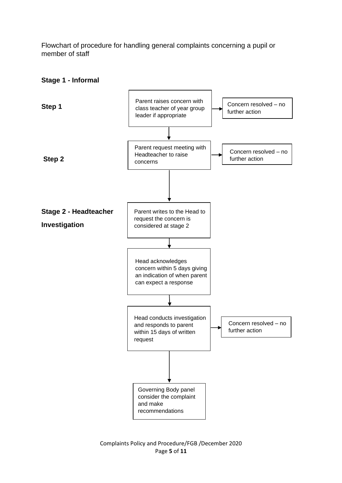Flowchart of procedure for handling general complaints concerning a pupil or member of staff



#### **Stage 1 - Informal**

Complaints Policy and Procedure/FGB /December 2020 Page **5** of **11**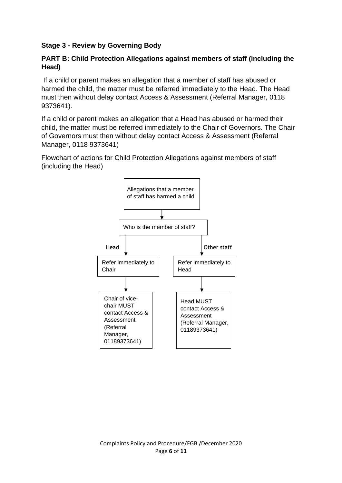### **Stage 3 - Review by Governing Body**

#### **PART B: Child Protection Allegations against members of staff (including the Head)**

If a child or parent makes an allegation that a member of staff has abused or harmed the child, the matter must be referred immediately to the Head. The Head must then without delay contact Access & Assessment (Referral Manager, 0118 9373641).

If a child or parent makes an allegation that a Head has abused or harmed their child, the matter must be referred immediately to the Chair of Governors. The Chair of Governors must then without delay contact Access & Assessment (Referral Manager, 0118 9373641)

Flowchart of actions for Child Protection Allegations against members of staff (including the Head)

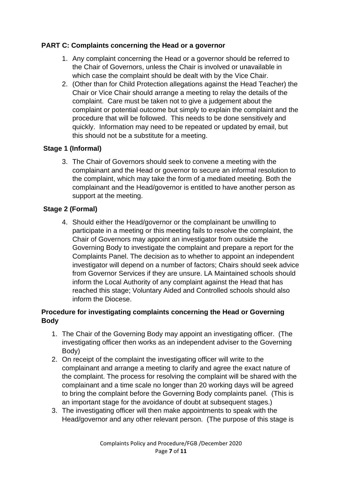#### **PART C: Complaints concerning the Head or a governor**

- 1. Any complaint concerning the Head or a governor should be referred to the Chair of Governors, unless the Chair is involved or unavailable in which case the complaint should be dealt with by the Vice Chair.
- 2. (Other than for Child Protection allegations against the Head Teacher) the Chair or Vice Chair should arrange a meeting to relay the details of the complaint. Care must be taken not to give a judgement about the complaint or potential outcome but simply to explain the complaint and the procedure that will be followed. This needs to be done sensitively and quickly. Information may need to be repeated or updated by email, but this should not be a substitute for a meeting.

### **Stage 1 (Informal)**

3. The Chair of Governors should seek to convene a meeting with the complainant and the Head or governor to secure an informal resolution to the complaint, which may take the form of a mediated meeting. Both the complainant and the Head/governor is entitled to have another person as support at the meeting.

### **Stage 2 (Formal)**

4. Should either the Head/governor or the complainant be unwilling to participate in a meeting or this meeting fails to resolve the complaint, the Chair of Governors may appoint an investigator from outside the Governing Body to investigate the complaint and prepare a report for the Complaints Panel. The decision as to whether to appoint an independent investigator will depend on a number of factors; Chairs should seek advice from Governor Services if they are unsure. LA Maintained schools should inform the Local Authority of any complaint against the Head that has reached this stage; Voluntary Aided and Controlled schools should also inform the Diocese.

### **Procedure for investigating complaints concerning the Head or Governing Body**

- 1. The Chair of the Governing Body may appoint an investigating officer. (The investigating officer then works as an independent adviser to the Governing Body)
- 2. On receipt of the complaint the investigating officer will write to the complainant and arrange a meeting to clarify and agree the exact nature of the complaint. The process for resolving the complaint will be shared with the complainant and a time scale no longer than 20 working days will be agreed to bring the complaint before the Governing Body complaints panel. (This is an important stage for the avoidance of doubt at subsequent stages.)
- 3. The investigating officer will then make appointments to speak with the Head/governor and any other relevant person. (The purpose of this stage is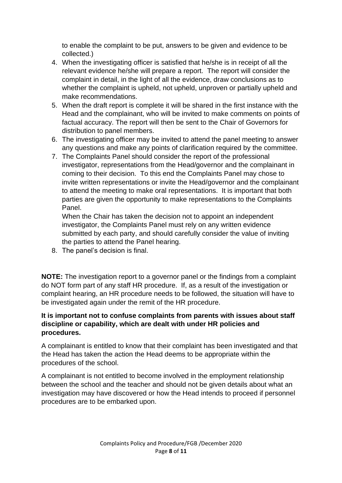to enable the complaint to be put, answers to be given and evidence to be collected.)

- 4. When the investigating officer is satisfied that he/she is in receipt of all the relevant evidence he/she will prepare a report. The report will consider the complaint in detail, in the light of all the evidence, draw conclusions as to whether the complaint is upheld, not upheld, unproven or partially upheld and make recommendations.
- 5. When the draft report is complete it will be shared in the first instance with the Head and the complainant, who will be invited to make comments on points of factual accuracy. The report will then be sent to the Chair of Governors for distribution to panel members.
- 6. The investigating officer may be invited to attend the panel meeting to answer any questions and make any points of clarification required by the committee.
- 7. The Complaints Panel should consider the report of the professional investigator, representations from the Head/governor and the complainant in coming to their decision. To this end the Complaints Panel may chose to invite written representations or invite the Head/governor and the complainant to attend the meeting to make oral representations. It is important that both parties are given the opportunity to make representations to the Complaints Panel.

When the Chair has taken the decision not to appoint an independent investigator, the Complaints Panel must rely on any written evidence submitted by each party, and should carefully consider the value of inviting the parties to attend the Panel hearing.

8. The panel's decision is final.

**NOTE:** The investigation report to a governor panel or the findings from a complaint do NOT form part of any staff HR procedure. If, as a result of the investigation or complaint hearing, an HR procedure needs to be followed, the situation will have to be investigated again under the remit of the HR procedure.

### **It is important not to confuse complaints from parents with issues about staff discipline or capability, which are dealt with under HR policies and procedures.**

A complainant is entitled to know that their complaint has been investigated and that the Head has taken the action the Head deems to be appropriate within the procedures of the school.

A complainant is not entitled to become involved in the employment relationship between the school and the teacher and should not be given details about what an investigation may have discovered or how the Head intends to proceed if personnel procedures are to be embarked upon.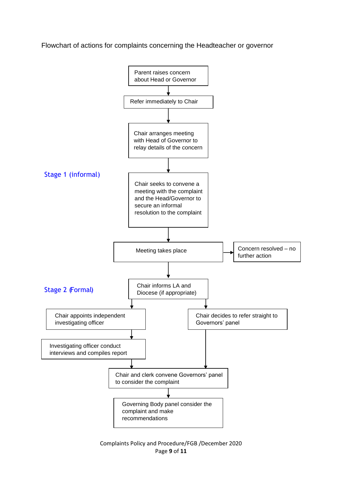Flowchart of actions for complaints concerning the Headteacher or governor



Complaints Policy and Procedure/FGB /December 2020 Page **9** of **11**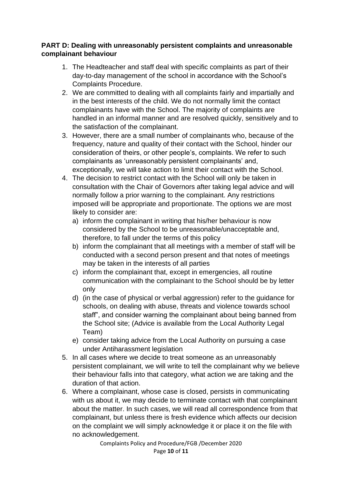#### **PART D: Dealing with unreasonably persistent complaints and unreasonable complainant behaviour**

- 1. The Headteacher and staff deal with specific complaints as part of their day-to-day management of the school in accordance with the School's Complaints Procedure.
- 2. We are committed to dealing with all complaints fairly and impartially and in the best interests of the child. We do not normally limit the contact complainants have with the School. The majority of complaints are handled in an informal manner and are resolved quickly, sensitively and to the satisfaction of the complainant.
- 3. However, there are a small number of complainants who, because of the frequency, nature and quality of their contact with the School, hinder our consideration of theirs, or other people's, complaints. We refer to such complainants as 'unreasonably persistent complainants' and, exceptionally, we will take action to limit their contact with the School.
- 4. The decision to restrict contact with the School will only be taken in consultation with the Chair of Governors after taking legal advice and will normally follow a prior warning to the complainant. Any restrictions imposed will be appropriate and proportionate. The options we are most likely to consider are:
	- a) inform the complainant in writing that his/her behaviour is now considered by the School to be unreasonable/unacceptable and, therefore, to fall under the terms of this policy
	- b) inform the complainant that all meetings with a member of staff will be conducted with a second person present and that notes of meetings may be taken in the interests of all parties
	- c) inform the complainant that, except in emergencies, all routine communication with the complainant to the School should be by letter only
	- d) (in the case of physical or verbal aggression) refer to the guidance for schools, on dealing with abuse, threats and violence towards school staff", and consider warning the complainant about being banned from the School site; (Advice is available from the Local Authority Legal Team)
	- e) consider taking advice from the Local Authority on pursuing a case under Antiharassment legislation
- 5. In all cases where we decide to treat someone as an unreasonably persistent complainant, we will write to tell the complainant why we believe their behaviour falls into that category, what action we are taking and the duration of that action.
- 6. Where a complainant, whose case is closed, persists in communicating with us about it, we may decide to terminate contact with that complainant about the matter. In such cases, we will read all correspondence from that complainant, but unless there is fresh evidence which affects our decision on the complaint we will simply acknowledge it or place it on the file with no acknowledgement.